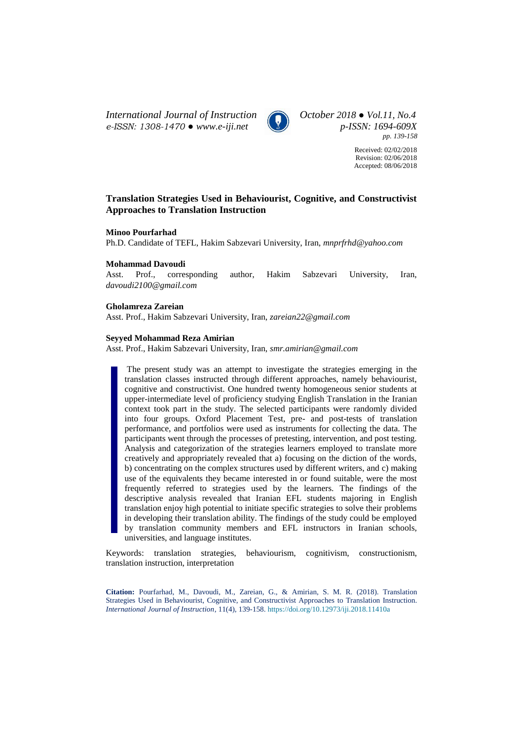*International Journal of Instruction October 2018 ● Vol.11, No.4 e-ISSN: 1308-1470 ● [www.e-iji.net](http://www.e-iji.net/) p-ISSN: 1694-609X*



*pp. 139-158*

Received: 02/02/2018 Revision: 02/06/2018 Accepted: 08/06/2018

# **Translation Strategies Used in Behaviourist, Cognitive, and Constructivist Approaches to Translation Instruction**

#### **Minoo Pourfarhad**

Ph.D. Candidate of TEFL, Hakim Sabzevari University, Iran, *[mnprfrhd@yahoo.com](mailto:mnprfrhd@yahoo.com)*

## **Mohammad Davoudi**

Asst. Prof., corresponding author, Hakim Sabzevari University, Iran, *[davoudi2100@gmail.com](mailto:davoudi2100@gmail.com)*

## **Gholamreza Zareian**

Asst. Prof., Hakim Sabzevari University, Iran, *[zareian22@gmail.com](mailto:zareian22@gmail.com)*

#### **Seyyed Mohammad Reza Amirian**

Asst. Prof., Hakim Sabzevari University, Iran, *smr.amirian@gmail.com*

The present study was an attempt to investigate the strategies emerging in the translation classes instructed through different approaches, namely behaviourist, cognitive and constructivist. One hundred twenty homogeneous senior students at upper-intermediate level of proficiency studying English Translation in the Iranian context took part in the study. The selected participants were randomly divided into four groups. Oxford Placement Test, pre- and post-tests of translation performance, and portfolios were used as instruments for collecting the data. The participants went through the processes of pretesting, intervention, and post testing. Analysis and categorization of the strategies learners employed to translate more creatively and appropriately revealed that a) focusing on the diction of the words, b) concentrating on the complex structures used by different writers, and c) making use of the equivalents they became interested in or found suitable, were the most frequently referred to strategies used by the learners. The findings of the descriptive analysis revealed that Iranian EFL students majoring in English translation enjoy high potential to initiate specific strategies to solve their problems in developing their translation ability. The findings of the study could be employed by translation community members and EFL instructors in Iranian schools, universities, and language institutes.

Keywords: translation strategies, behaviourism, cognitivism, constructionism, translation instruction, interpretation

**Citation:** Pourfarhad, M., Davoudi, M., Zareian, G., & Amirian, S. M. R. (2018). Translation Strategies Used in Behaviourist, Cognitive, and Constructivist Approaches to Translation Instruction. *International Journal of Instruction*, 11(4), 139-158. <https://doi.org/10.12973/iji.2018.11410a>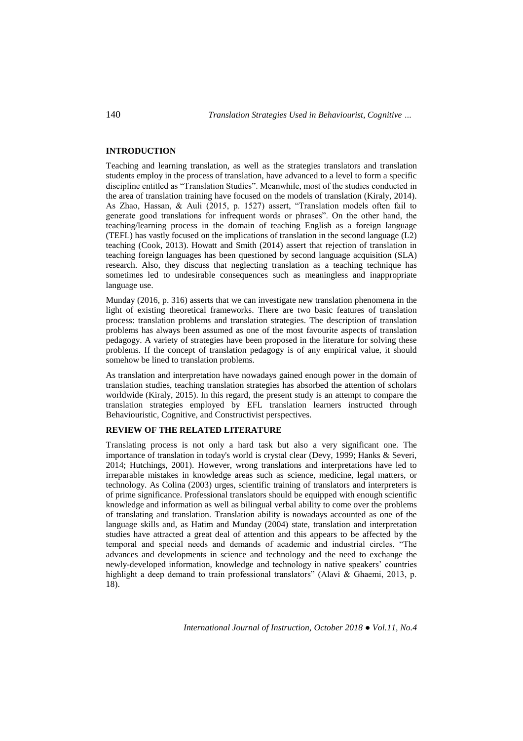### **INTRODUCTION**

Teaching and learning translation, as well as the strategies translators and translation students employ in the process of translation, have advanced to a level to form a specific discipline entitled as "Translation Studies". Meanwhile, most of the studies conducted in the area of translation training have focused on the models of translation (Kiraly, 2014). As Zhao, Hassan, & Auli (2015, p. 1527) assert, "Translation models often fail to generate good translations for infrequent words or phrases". On the other hand, the teaching/learning process in the domain of teaching English as a foreign language (TEFL) has vastly focused on the implications of translation in the second language (L2) teaching (Cook, 2013). Howatt and Smith (2014) assert that rejection of translation in teaching foreign languages has been questioned by second language acquisition (SLA) research. Also, they discuss that neglecting translation as a teaching technique has sometimes led to undesirable consequences such as meaningless and inappropriate language use.

Munday (2016, p. 316) asserts that we can investigate new translation phenomena in the light of existing theoretical frameworks. There are two basic features of translation process: translation problems and translation strategies. The description of translation problems has always been assumed as one of the most favourite aspects of translation pedagogy. A variety of strategies have been proposed in the literature for solving these problems. If the concept of translation pedagogy is of any empirical value, it should somehow be lined to translation problems.

As translation and interpretation have nowadays gained enough power in the domain of translation studies, teaching translation strategies has absorbed the attention of scholars worldwide (Kiraly, 2015). In this regard, the present study is an attempt to compare the translation strategies employed by EFL translation learners instructed through Behaviouristic, Cognitive, and Constructivist perspectives.

## **REVIEW OF THE RELATED LITERATURE**

Translating process is not only a hard task but also a very significant one. The importance of translation in today's world is crystal clear (Devy, 1999; Hanks & Severi, 2014; Hutchings, 2001). However, wrong translations and interpretations have led to irreparable mistakes in knowledge areas such as science, medicine, legal matters, or technology. As Colina (2003) urges, scientific training of translators and interpreters is of prime significance. Professional translators should be equipped with enough scientific knowledge and information as well as bilingual verbal ability to come over the problems of translating and translation. Translation ability is nowadays accounted as one of the language skills and, as Hatim and Munday (2004) state, translation and interpretation studies have attracted a great deal of attention and this appears to be affected by the temporal and special needs and demands of academic and industrial circles. "The advances and developments in science and technology and the need to exchange the newly-developed information, knowledge and technology in native speakers' countries highlight a deep demand to train professional translators" (Alavi & Ghaemi, 2013, p. 18).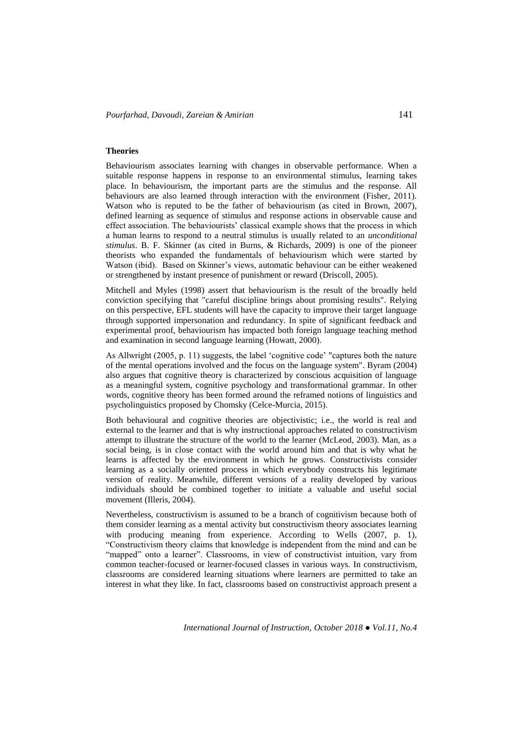## **Theories**

Behaviourism associates learning with changes in observable performance. When a suitable response happens in response to an environmental stimulus, learning takes place. In behaviourism, the important parts are the stimulus and the response. All behaviours are also learned through interaction with the environment (Fisher, 2011). Watson who is reputed to be the father of behaviourism (as cited in Brown, 2007), defined learning as sequence of stimulus and response actions in observable cause and effect association. The behaviourists' classical example shows that the process in which a human learns to respond to a neutral stimulus is usually related to an *unconditional stimulus*. B. F. Skinner (as cited in Burns, & Richards, 2009) is one of the pioneer theorists who expanded the fundamentals of behaviourism which were started by Watson (ibid). Based on Skinner's views, automatic behaviour can be either weakened or strengthened by instant presence of punishment or reward (Driscoll, 2005).

Mitchell and Myles (1998) assert that behaviourism is the result of the broadly held conviction specifying that "careful discipline brings about promising results". Relying on this perspective, EFL students will have the capacity to improve their target language through supported impersonation and redundancy. In spite of significant feedback and experimental proof, behaviourism has impacted both foreign language teaching method and examination in second language learning (Howatt, 2000).

As Allwright (2005, p. 11) suggests, the label 'cognitive code' "captures both the nature of the mental operations involved and the focus on the language system". Byram (2004) also argues that cognitive theory is characterized by conscious acquisition of language as a meaningful system, cognitive psychology and transformational grammar. In other words, cognitive theory has been formed around the reframed notions of linguistics and psycholinguistics proposed by Chomsky (Celce-Murcia, 2015).

Both behavioural and cognitive theories are objectivistic; i.e., the world is real and external to the learner and that is why instructional approaches related to constructivism attempt to illustrate the structure of the world to the learner (McLeod, 2003). Man, as a social being, is in close contact with the world around him and that is why what he learns is affected by the environment in which he grows. Constructivists consider learning as a socially oriented process in which everybody constructs his legitimate version of reality. Meanwhile, different versions of a reality developed by various individuals should be combined together to initiate a valuable and useful social movement (Illeris, 2004).

Nevertheless, constructivism is assumed to be a branch of cognitivism because both of them consider learning as a mental activity but constructivism theory associates learning with producing meaning from experience. According to Wells (2007, p. 1), "Constructivism theory claims that knowledge is independent from the mind and can be "mapped" onto a learner". Classrooms, in view of constructivist intuition, vary from common teacher-focused or learner-focused classes in various ways. In constructivism, classrooms are considered learning situations where learners are permitted to take an interest in what they like. In fact, classrooms based on constructivist approach present a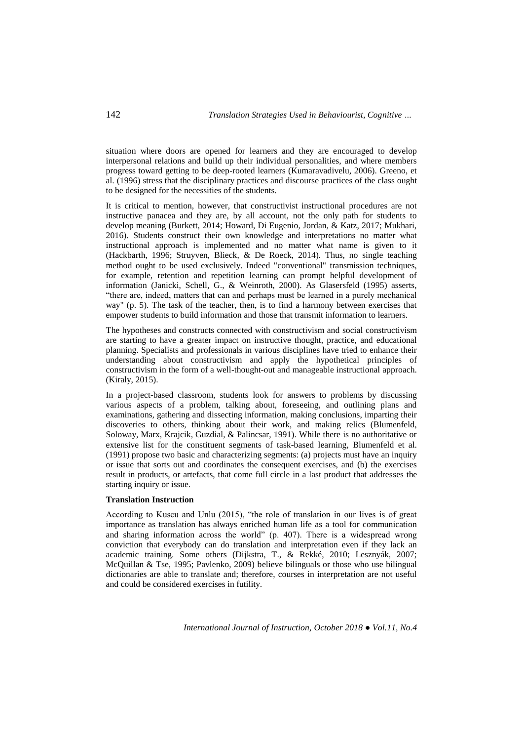situation where doors are opened for learners and they are encouraged to develop interpersonal relations and build up their individual personalities, and where members progress toward getting to be deep-rooted learners (Kumaravadivelu, 2006). Greeno, et al. (1996) stress that the disciplinary practices and discourse practices of the class ought to be designed for the necessities of the students.

It is critical to mention, however, that constructivist instructional procedures are not instructive panacea and they are, by all account, not the only path for students to develop meaning (Burkett, 2014; Howard, Di Eugenio, Jordan, & Katz, 2017; Mukhari, 2016). Students construct their own knowledge and interpretations no matter what instructional approach is implemented and no matter what name is given to it (Hackbarth, 1996; Struyven, Blieck, & De Roeck, 2014). Thus, no single teaching method ought to be used exclusively. Indeed "conventional" transmission techniques, for example, retention and repetition learning can prompt helpful development of information (Janicki, Schell, G., & Weinroth, 2000). As Glasersfeld (1995) asserts, "there are, indeed, matters that can and perhaps must be learned in a purely mechanical way" (p. 5). The task of the teacher, then, is to find a harmony between exercises that empower students to build information and those that transmit information to learners.

The hypotheses and constructs connected with constructivism and social constructivism are starting to have a greater impact on instructive thought, practice, and educational planning. Specialists and professionals in various disciplines have tried to enhance their understanding about constructivism and apply the hypothetical principles of constructivism in the form of a well-thought-out and manageable instructional approach. (Kiraly, 2015).

In a project-based classroom, students look for answers to problems by discussing various aspects of a problem, talking about, foreseeing, and outlining plans and examinations, gathering and dissecting information, making conclusions, imparting their discoveries to others, thinking about their work, and making relics (Blumenfeld, Soloway, Marx, Krajcik, Guzdial, & Palincsar, 1991). While there is no authoritative or extensive list for the constituent segments of task-based learning, Blumenfeld et al. (1991) propose two basic and characterizing segments: (a) projects must have an inquiry or issue that sorts out and coordinates the consequent exercises, and (b) the exercises result in products, or artefacts, that come full circle in a last product that addresses the starting inquiry or issue.

### **Translation Instruction**

According to Kuscu and Unlu (2015), "the role of translation in our lives is of great importance as translation has always enriched human life as a tool for communication and sharing information across the world" (p. 407). There is a widespread wrong conviction that everybody can do translation and interpretation even if they lack an academic training. Some others (Dijkstra, T., & Rekké, 2010; Lesznyák, 2007; McQuillan & Tse, 1995; Pavlenko, 2009) believe bilinguals or those who use bilingual dictionaries are able to translate and; therefore, courses in interpretation are not useful and could be considered exercises in futility.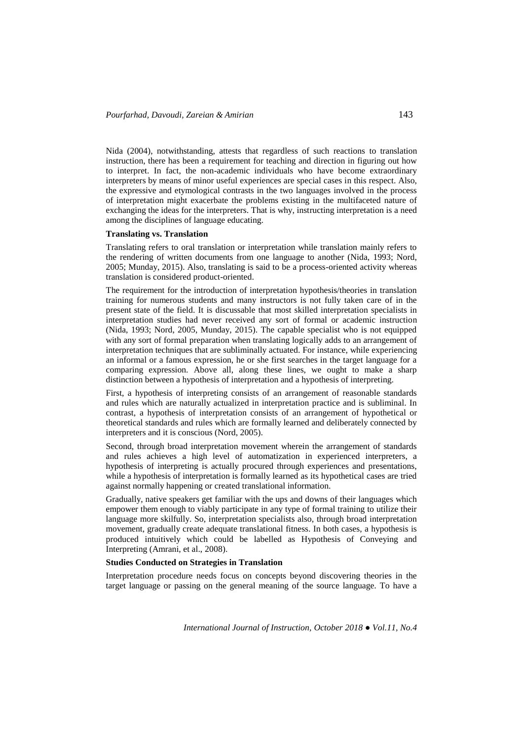Nida (2004), notwithstanding, attests that regardless of such reactions to translation instruction, there has been a requirement for teaching and direction in figuring out how to interpret. In fact, the non-academic individuals who have become extraordinary interpreters by means of minor useful experiences are special cases in this respect. Also, the expressive and etymological contrasts in the two languages involved in the process of interpretation might exacerbate the problems existing in the multifaceted nature of exchanging the ideas for the interpreters. That is why, instructing interpretation is a need among the disciplines of language educating.

#### **Translating vs. Translation**

Translating refers to oral translation or interpretation while translation mainly refers to the rendering of written documents from one language to another (Nida, 1993; Nord, 2005; Munday, 2015). Also, translating is said to be a process-oriented activity whereas translation is considered product-oriented.

The requirement for the introduction of interpretation hypothesis/theories in translation training for numerous students and many instructors is not fully taken care of in the present state of the field. It is discussable that most skilled interpretation specialists in interpretation studies had never received any sort of formal or academic instruction (Nida, 1993; Nord, 2005, Munday, 2015). The capable specialist who is not equipped with any sort of formal preparation when translating logically adds to an arrangement of interpretation techniques that are subliminally actuated. For instance, while experiencing an informal or a famous expression, he or she first searches in the target language for a comparing expression. Above all, along these lines, we ought to make a sharp distinction between a hypothesis of interpretation and a hypothesis of interpreting.

First, a hypothesis of interpreting consists of an arrangement of reasonable standards and rules which are naturally actualized in interpretation practice and is subliminal. In contrast, a hypothesis of interpretation consists of an arrangement of hypothetical or theoretical standards and rules which are formally learned and deliberately connected by interpreters and it is conscious (Nord, 2005).

Second, through broad interpretation movement wherein the arrangement of standards and rules achieves a high level of automatization in experienced interpreters, a hypothesis of interpreting is actually procured through experiences and presentations, while a hypothesis of interpretation is formally learned as its hypothetical cases are tried against normally happening or created translational information.

Gradually, native speakers get familiar with the ups and downs of their languages which empower them enough to viably participate in any type of formal training to utilize their language more skilfully. So, interpretation specialists also, through broad interpretation movement, gradually create adequate translational fitness. In both cases, a hypothesis is produced intuitively which could be labelled as Hypothesis of Conveying and Interpreting (Amrani, et al., 2008).

### **Studies Conducted on Strategies in Translation**

Interpretation procedure needs focus on concepts beyond discovering theories in the target language or passing on the general meaning of the source language. To have a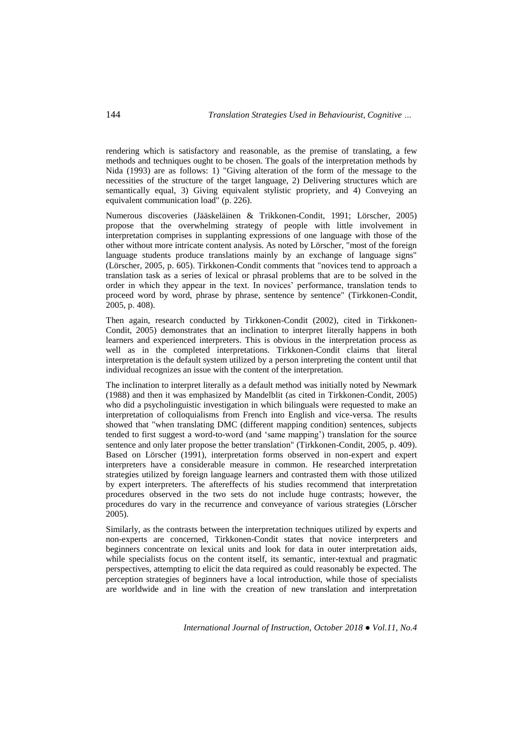rendering which is satisfactory and reasonable, as the premise of translating, a few methods and techniques ought to be chosen. The goals of the interpretation methods by Nida (1993) are as follows: 1) "Giving alteration of the form of the message to the necessities of the structure of the target language, 2) Delivering structures which are semantically equal, 3) Giving equivalent stylistic propriety, and 4) Conveying an equivalent communication load" (p. 226).

Numerous discoveries (Jääskeläinen & Trikkonen-Condit, 1991; Lörscher, 2005) propose that the overwhelming strategy of people with little involvement in interpretation comprises in supplanting expressions of one language with those of the other without more intricate content analysis. As noted by Lörscher, "most of the foreign language students produce translations mainly by an exchange of language signs" (Lörscher, 2005, p. 605). Tirkkonen-Condit comments that "novices tend to approach a translation task as a series of lexical or phrasal problems that are to be solved in the order in which they appear in the text. In novices' performance, translation tends to proceed word by word, phrase by phrase, sentence by sentence" (Tirkkonen-Condit, 2005, p. 408).

Then again, research conducted by Tirkkonen-Condit (2002), cited in Tirkkonen-Condit, 2005) demonstrates that an inclination to interpret literally happens in both learners and experienced interpreters. This is obvious in the interpretation process as well as in the completed interpretations. Tirkkonen-Condit claims that literal interpretation is the default system utilized by a person interpreting the content until that individual recognizes an issue with the content of the interpretation.

The inclination to interpret literally as a default method was initially noted by Newmark (1988) and then it was emphasized by Mandelblit (as cited in Tirkkonen-Condit, 2005) who did a psycholinguistic investigation in which bilinguals were requested to make an interpretation of colloquialisms from French into English and vice-versa. The results showed that "when translating DMC (different mapping condition) sentences, subjects tended to first suggest a word-to-word (and 'same mapping') translation for the source sentence and only later propose the better translation" (Tirkkonen-Condit, 2005, p. 409). Based on Lörscher (1991), interpretation forms observed in non-expert and expert interpreters have a considerable measure in common. He researched interpretation strategies utilized by foreign language learners and contrasted them with those utilized by expert interpreters. The aftereffects of his studies recommend that interpretation procedures observed in the two sets do not include huge contrasts; however, the procedures do vary in the recurrence and conveyance of various strategies (Lörscher 2005).

Similarly, as the contrasts between the interpretation techniques utilized by experts and non-experts are concerned, Tirkkonen-Condit states that novice interpreters and beginners concentrate on lexical units and look for data in outer interpretation aids, while specialists focus on the content itself, its semantic, inter-textual and pragmatic perspectives, attempting to elicit the data required as could reasonably be expected. The perception strategies of beginners have a local introduction, while those of specialists are worldwide and in line with the creation of new translation and interpretation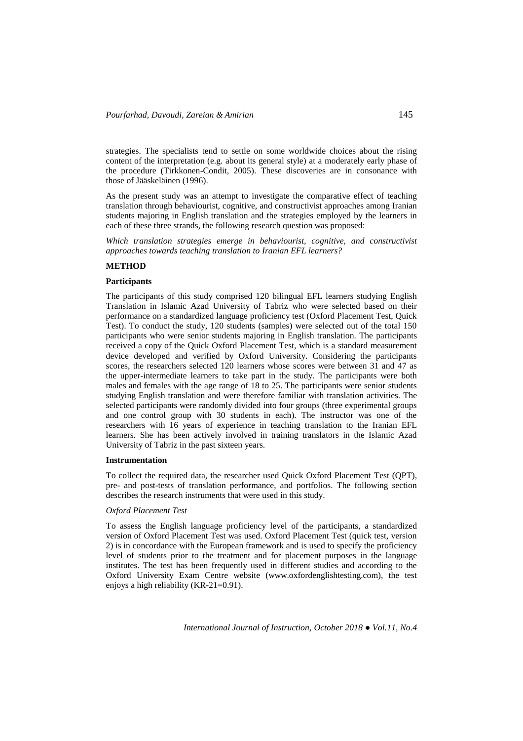strategies. The specialists tend to settle on some worldwide choices about the rising content of the interpretation (e.g. about its general style) at a moderately early phase of the procedure (Tirkkonen-Condit, 2005). These discoveries are in consonance with those of Jääskeläinen (1996).

As the present study was an attempt to investigate the comparative effect of teaching translation through behaviourist, cognitive, and constructivist approaches among Iranian students majoring in English translation and the strategies employed by the learners in each of these three strands, the following research question was proposed:

*Which translation strategies emerge in behaviourist, cognitive, and constructivist approaches towards teaching translation to Iranian EFL learners?*

## **METHOD**

### **Participants**

The participants of this study comprised 120 bilingual EFL learners studying English Translation in Islamic Azad University of Tabriz who were selected based on their performance on a standardized language proficiency test (Oxford Placement Test, Quick Test). To conduct the study, 120 students (samples) were selected out of the total 150 participants who were senior students majoring in English translation. The participants received a copy of the Quick Oxford Placement Test, which is a standard measurement device developed and verified by Oxford University. Considering the participants scores, the researchers selected 120 learners whose scores were between 31 and 47 as the upper-intermediate learners to take part in the study. The participants were both males and females with the age range of 18 to 25. The participants were senior students studying English translation and were therefore familiar with translation activities. The selected participants were randomly divided into four groups (three experimental groups and one control group with 30 students in each). The instructor was one of the researchers with 16 years of experience in teaching translation to the Iranian EFL learners. She has been actively involved in training translators in the Islamic Azad University of Tabriz in the past sixteen years.

## **Instrumentation**

To collect the required data, the researcher used Quick Oxford Placement Test (QPT), pre- and post-tests of translation performance, and portfolios. The following section describes the research instruments that were used in this study.

### *Oxford Placement Test*

To assess the English language proficiency level of the participants, a standardized version of Oxford Placement Test was used. Oxford Placement Test (quick test, version 2) is in concordance with the European framework and is used to specify the proficiency level of students prior to the treatment and for placement purposes in the language institutes. The test has been frequently used in different studies and according to the Oxford University Exam Centre website (www.oxfordenglishtesting.com), the test enjoys a high reliability (KR-21=0.91).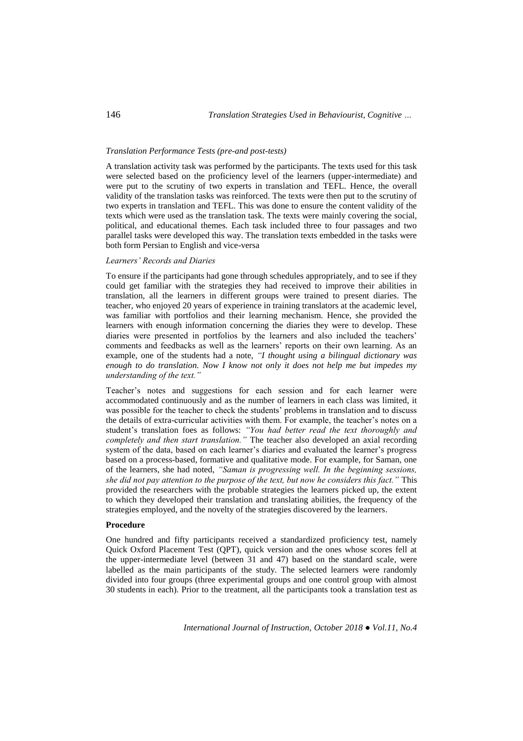### *Translation Performance Tests (pre-and post-tests)*

A translation activity task was performed by the participants. The texts used for this task were selected based on the proficiency level of the learners (upper-intermediate) and were put to the scrutiny of two experts in translation and TEFL. Hence, the overall validity of the translation tasks was reinforced. The texts were then put to the scrutiny of two experts in translation and TEFL. This was done to ensure the content validity of the texts which were used as the translation task. The texts were mainly covering the social, political, and educational themes. Each task included three to four passages and two parallel tasks were developed this way. The translation texts embedded in the tasks were both form Persian to English and vice-versa

### *Learners' Records and Diaries*

To ensure if the participants had gone through schedules appropriately, and to see if they could get familiar with the strategies they had received to improve their abilities in translation, all the learners in different groups were trained to present diaries. The teacher, who enjoyed 20 years of experience in training translators at the academic level, was familiar with portfolios and their learning mechanism. Hence, she provided the learners with enough information concerning the diaries they were to develop. These diaries were presented in portfolios by the learners and also included the teachers' comments and feedbacks as well as the learners' reports on their own learning. As an example, one of the students had a note, *"I thought using a bilingual dictionary was enough to do translation. Now I know not only it does not help me but impedes my understanding of the text."*

Teacher's notes and suggestions for each session and for each learner were accommodated continuously and as the number of learners in each class was limited, it was possible for the teacher to check the students' problems in translation and to discuss the details of extra-curricular activities with them. For example, the teacher's notes on a student's translation foes as follows: *"You had better read the text thoroughly and completely and then start translation."* The teacher also developed an axial recording system of the data, based on each learner's diaries and evaluated the learner's progress based on a process-based, formative and qualitative mode. For example, for Saman, one of the learners, she had noted, *"Saman is progressing well. In the beginning sessions, she did not pay attention to the purpose of the text, but now he considers this fact."* This provided the researchers with the probable strategies the learners picked up, the extent to which they developed their translation and translating abilities, the frequency of the strategies employed, and the novelty of the strategies discovered by the learners.

#### **Procedure**

One hundred and fifty participants received a standardized proficiency test, namely Quick Oxford Placement Test (QPT), quick version and the ones whose scores fell at the upper-intermediate level (between 31 and 47) based on the standard scale, were labelled as the main participants of the study. The selected learners were randomly divided into four groups (three experimental groups and one control group with almost 30 students in each). Prior to the treatment, all the participants took a translation test as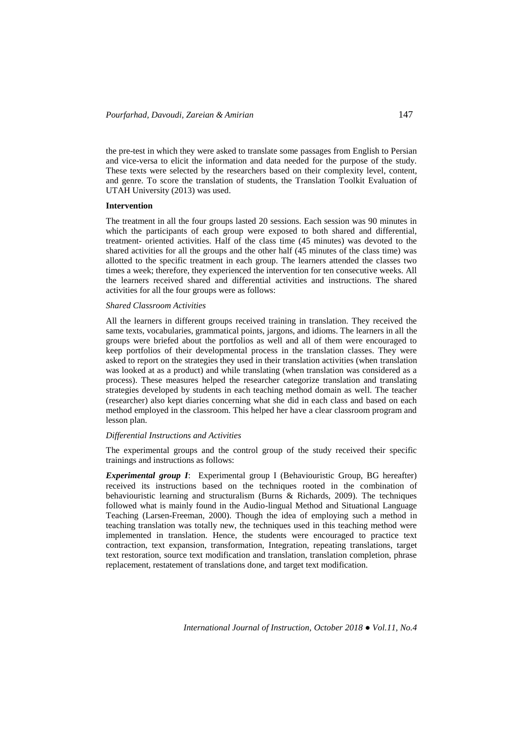the pre-test in which they were asked to translate some passages from English to Persian and vice-versa to elicit the information and data needed for the purpose of the study. These texts were selected by the researchers based on their complexity level, content, and genre. To score the translation of students, the Translation Toolkit Evaluation of UTAH University (2013) was used.

#### **Intervention**

The treatment in all the four groups lasted 20 sessions. Each session was 90 minutes in which the participants of each group were exposed to both shared and differential, treatment- oriented activities. Half of the class time (45 minutes) was devoted to the shared activities for all the groups and the other half (45 minutes of the class time) was allotted to the specific treatment in each group. The learners attended the classes two times a week; therefore, they experienced the intervention for ten consecutive weeks. All the learners received shared and differential activities and instructions. The shared activities for all the four groups were as follows:

#### *Shared Classroom Activities*

All the learners in different groups received training in translation. They received the same texts, vocabularies, grammatical points, jargons, and idioms. The learners in all the groups were briefed about the portfolios as well and all of them were encouraged to keep portfolios of their developmental process in the translation classes. They were asked to report on the strategies they used in their translation activities (when translation was looked at as a product) and while translating (when translation was considered as a process). These measures helped the researcher categorize translation and translating strategies developed by students in each teaching method domain as well. The teacher (researcher) also kept diaries concerning what she did in each class and based on each method employed in the classroom. This helped her have a clear classroom program and lesson plan.

### *Differential Instructions and Activities*

The experimental groups and the control group of the study received their specific trainings and instructions as follows:

*Experimental group I*: Experimental group I (Behaviouristic Group, BG hereafter) received its instructions based on the techniques rooted in the combination of behaviouristic learning and structuralism (Burns & Richards, 2009). The techniques followed what is mainly found in the Audio-lingual Method and Situational Language Teaching (Larsen-Freeman, 2000). Though the idea of employing such a method in teaching translation was totally new, the techniques used in this teaching method were implemented in translation. Hence, the students were encouraged to practice text contraction, text expansion, transformation, Integration, repeating translations, target text restoration, source text modification and translation, translation completion, phrase replacement, restatement of translations done, and target text modification.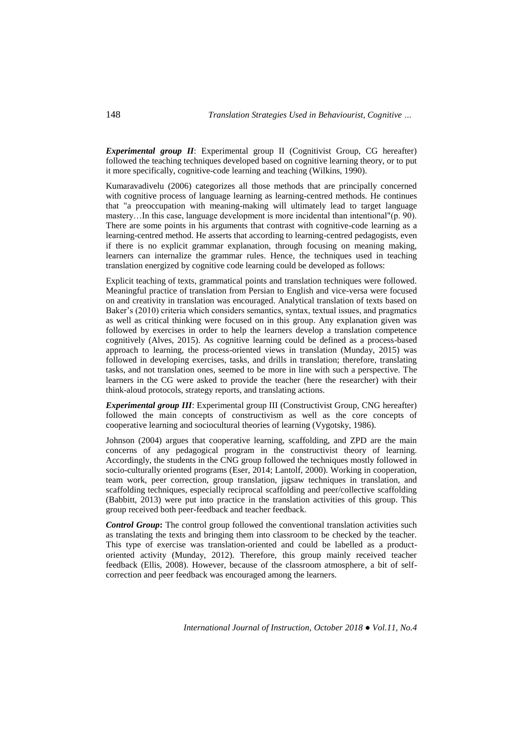*Experimental group II*: Experimental group II (Cognitivist Group, CG hereafter) followed the teaching techniques developed based on cognitive learning theory, or to put it more specifically, cognitive-code learning and teaching (Wilkins, 1990).

Kumaravadivelu (2006) categorizes all those methods that are principally concerned with cognitive process of language learning as learning-centred methods. He continues that "a preoccupation with meaning-making will ultimately lead to target language mastery…In this case, language development is more incidental than intentional"(p. 90). There are some points in his arguments that contrast with cognitive-code learning as a learning-centred method. He asserts that according to learning-centred pedagogists, even if there is no explicit grammar explanation, through focusing on meaning making, learners can internalize the grammar rules. Hence, the techniques used in teaching translation energized by cognitive code learning could be developed as follows:

Explicit teaching of texts, grammatical points and translation techniques were followed. Meaningful practice of translation from Persian to English and vice-versa were focused on and creativity in translation was encouraged. Analytical translation of texts based on Baker's (2010) criteria which considers semantics, syntax, textual issues, and pragmatics as well as critical thinking were focused on in this group. Any explanation given was followed by exercises in order to help the learners develop a translation competence cognitively (Alves, 2015). As cognitive learning could be defined as a process-based approach to learning, the process-oriented views in translation (Munday, 2015) was followed in developing exercises, tasks, and drills in translation; therefore, translating tasks, and not translation ones, seemed to be more in line with such a perspective. The learners in the CG were asked to provide the teacher (here the researcher) with their think-aloud protocols, strategy reports, and translating actions.

*Experimental group III*: Experimental group III (Constructivist Group, CNG hereafter) followed the main concepts of constructivism as well as the core concepts of cooperative learning and sociocultural theories of learning (Vygotsky, 1986).

Johnson (2004) argues that cooperative learning, scaffolding, and ZPD are the main concerns of any pedagogical program in the constructivist theory of learning. Accordingly, the students in the CNG group followed the techniques mostly followed in socio-culturally oriented programs (Eser, 2014; Lantolf, 2000). Working in cooperation, team work, peer correction, group translation, jigsaw techniques in translation, and scaffolding techniques, especially reciprocal scaffolding and peer/collective scaffolding (Babbitt, 2013) were put into practice in the translation activities of this group. This group received both peer-feedback and teacher feedback.

*Control Group***:** The control group followed the conventional translation activities such as translating the texts and bringing them into classroom to be checked by the teacher. This type of exercise was translation-oriented and could be labelled as a productoriented activity (Munday, 2012). Therefore, this group mainly received teacher feedback (Ellis, 2008). However, because of the classroom atmosphere, a bit of selfcorrection and peer feedback was encouraged among the learners.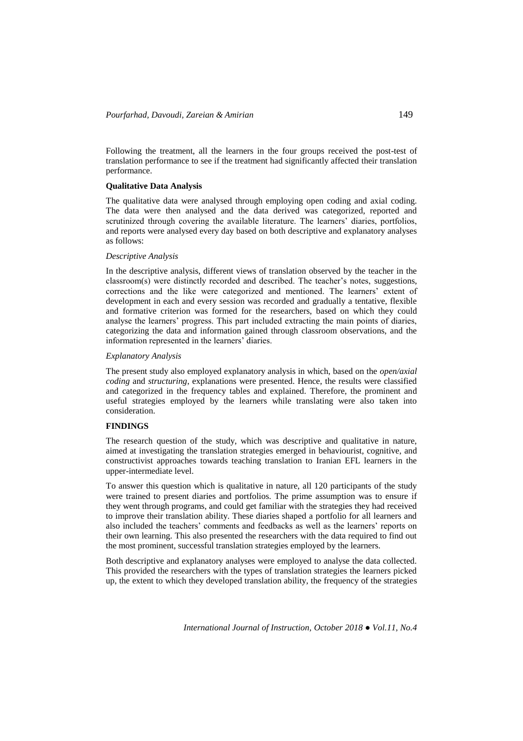Following the treatment, all the learners in the four groups received the post-test of translation performance to see if the treatment had significantly affected their translation performance.

### **Qualitative Data Analysis**

The qualitative data were analysed through employing open coding and axial coding. The data were then analysed and the data derived was categorized, reported and scrutinized through covering the available literature. The learners' diaries, portfolios, and reports were analysed every day based on both descriptive and explanatory analyses as follows:

#### *Descriptive Analysis*

In the descriptive analysis, different views of translation observed by the teacher in the classroom(s) were distinctly recorded and described. The teacher's notes, suggestions, corrections and the like were categorized and mentioned. The learners' extent of development in each and every session was recorded and gradually a tentative, flexible and formative criterion was formed for the researchers, based on which they could analyse the learners' progress. This part included extracting the main points of diaries, categorizing the data and information gained through classroom observations, and the information represented in the learners' diaries.

### *Explanatory Analysis*

The present study also employed explanatory analysis in which, based on the *open/axial coding* and *structuring*, explanations were presented. Hence, the results were classified and categorized in the frequency tables and explained. Therefore, the prominent and useful strategies employed by the learners while translating were also taken into consideration.

## **FINDINGS**

The research question of the study, which was descriptive and qualitative in nature, aimed at investigating the translation strategies emerged in behaviourist, cognitive, and constructivist approaches towards teaching translation to Iranian EFL learners in the upper-intermediate level.

To answer this question which is qualitative in nature, all 120 participants of the study were trained to present diaries and portfolios. The prime assumption was to ensure if they went through programs, and could get familiar with the strategies they had received to improve their translation ability. These diaries shaped a portfolio for all learners and also included the teachers' comments and feedbacks as well as the learners' reports on their own learning. This also presented the researchers with the data required to find out the most prominent, successful translation strategies employed by the learners.

Both descriptive and explanatory analyses were employed to analyse the data collected. This provided the researchers with the types of translation strategies the learners picked up, the extent to which they developed translation ability, the frequency of the strategies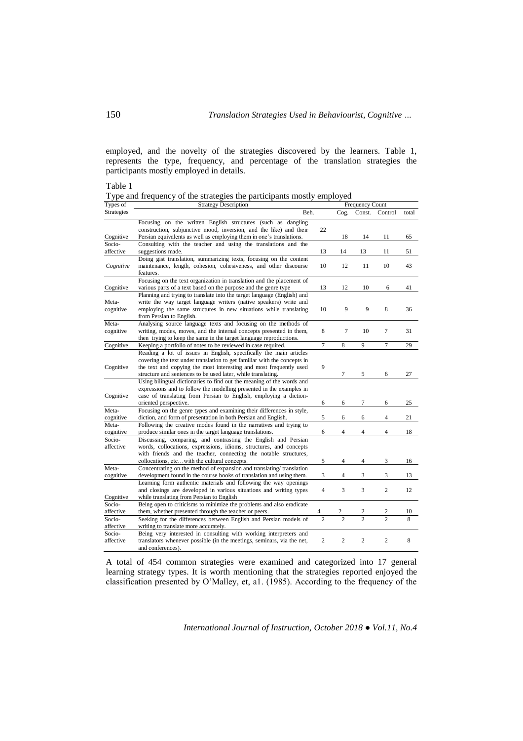employed, and the novelty of the strategies discovered by the learners. Table 1, represents the type, frequency, and percentage of the translation strategies the participants mostly employed in details.

| ٧ |  |
|---|--|
|---|--|

|                            |                       | Type and frequency of the strategies the participants mostly employed |  |
|----------------------------|-----------------------|-----------------------------------------------------------------------|--|
| $\mathbf{T}$ $\mathcal{L}$ | Courses in Broadwater | $\mathbf{r}_{\text{max}}$                                             |  |

| Types of            | <b>Strategy Description</b>                                                                                                          |                | <b>Frequency Count</b> |                          |                          |       |  |  |
|---------------------|--------------------------------------------------------------------------------------------------------------------------------------|----------------|------------------------|--------------------------|--------------------------|-------|--|--|
| Strategies          | Beh.                                                                                                                                 |                | Cog.                   | Const.                   | Control                  | total |  |  |
|                     | Focusing on the written English structures (such as dangling                                                                         |                |                        |                          |                          |       |  |  |
|                     | construction, subjunctive mood, inversion, and the like) and their                                                                   | 22             |                        |                          |                          |       |  |  |
| Cognitive           | Persian equivalents as well as employing them in one's translations.                                                                 |                | 18                     | 14                       | 11                       | 65    |  |  |
| Socio-              | Consulting with the teacher and using the translations and the                                                                       |                |                        |                          |                          |       |  |  |
| affective           | suggestions made.                                                                                                                    | 13             | 14                     | 13                       | 11                       | 51    |  |  |
|                     | Doing gist translation, summarizing texts, focusing on the content                                                                   |                |                        |                          |                          |       |  |  |
| Cognitive           | maintenance, length, cohesion, cohesiveness, and other discourse                                                                     | 10             | 12                     | 11                       | 10                       | 43    |  |  |
|                     | features.                                                                                                                            |                |                        |                          |                          |       |  |  |
|                     | Focusing on the text organization in translation and the placement of                                                                |                |                        |                          |                          |       |  |  |
| Cognitive           | various parts of a text based on the purpose and the genre type                                                                      | 13             | 12                     | 10                       | 6                        | 41    |  |  |
|                     | Planning and trying to translate into the target language (English) and                                                              |                |                        |                          |                          |       |  |  |
| Meta-               | write the way target language writers (native speakers) write and                                                                    | 10             |                        | 9                        | 8                        | 36    |  |  |
| cognitive           | employing the same structures in new situations while translating<br>from Persian to English.                                        |                | 9                      |                          |                          |       |  |  |
| Meta-               | Analysing source language texts and focusing on the methods of                                                                       |                |                        |                          |                          |       |  |  |
| cognitive           | writing, modes, moves, and the internal concepts presented in them,                                                                  | 8              | 7                      | 10                       | 7                        | 31    |  |  |
|                     | then trying to keep the same in the target language reproductions.                                                                   |                |                        |                          |                          |       |  |  |
| Cognitive           | Keeping a portfolio of notes to be reviewed in case required.                                                                        | $\overline{7}$ | 8                      | 9                        | $\overline{\mathcal{I}}$ | 29    |  |  |
|                     | Reading a lot of issues in English, specifically the main articles                                                                   |                |                        |                          |                          |       |  |  |
|                     | covering the text under translation to get familiar with the concepts in                                                             |                |                        |                          |                          |       |  |  |
| Cognitive           | the text and copying the most interesting and most frequently used                                                                   | 9              |                        |                          |                          |       |  |  |
|                     | structure and sentences to be used later, while translating.                                                                         |                | 7                      | 5                        | 6                        | 27    |  |  |
|                     | Using bilingual dictionaries to find out the meaning of the words and                                                                |                |                        |                          |                          |       |  |  |
|                     | expressions and to follow the modelling presented in the examples in                                                                 |                |                        |                          |                          |       |  |  |
| Cognitive           | case of translating from Persian to English, employing a diction-                                                                    |                |                        |                          |                          |       |  |  |
|                     | oriented perspective.                                                                                                                | 6              | 6                      | 7                        | 6                        | 25    |  |  |
| Meta-               | Focusing on the genre types and examining their differences in style,                                                                |                |                        |                          |                          |       |  |  |
| cognitive           | diction, and form of presentation in both Persian and English.                                                                       | 5              | 6                      | 6                        | 4                        | 21    |  |  |
| Meta-               | Following the creative modes found in the narratives and trying to                                                                   |                |                        |                          |                          |       |  |  |
| cognitive<br>Socio- | produce similar ones in the target language translations.                                                                            | 6              | 4                      | 4                        | 4                        | 18    |  |  |
| affective           | Discussing, comparing, and contrasting the English and Persian<br>words, collocations, expressions, idioms, structures, and concepts |                |                        |                          |                          |       |  |  |
|                     | with friends and the teacher, connecting the notable structures,                                                                     |                |                        |                          |                          |       |  |  |
|                     | collocations, etcwith the cultural concepts.                                                                                         | 5              | 4                      | 4                        | 3                        | 16    |  |  |
| Meta-               | Concentrating on the method of expansion and translating/translation                                                                 |                |                        |                          |                          |       |  |  |
| cognitive           | development found in the course books of translation and using them.                                                                 | 3              | 4                      | 3                        | 3                        | 13    |  |  |
|                     | Learning form authentic materials and following the way openings                                                                     |                |                        |                          |                          |       |  |  |
|                     | and closings are developed in various situations and writing types                                                                   | 4              | 3                      | 3                        | $\overline{c}$           | 12    |  |  |
| Cognitive           | while translating from Persian to English                                                                                            |                |                        |                          |                          |       |  |  |
| Socio-              | Being open to criticisms to minimize the problems and also eradicate                                                                 |                |                        |                          |                          |       |  |  |
| affective           | them, whether presented through the teacher or peers.                                                                                | 4              | 2                      | 2                        | 2                        | 10    |  |  |
| Socio-              | Seeking for the differences between English and Persian models of                                                                    | $\overline{c}$ | $\overline{c}$         | $\overline{\mathcal{L}}$ | $\overline{2}$           | 8     |  |  |
| affective           | writing to translate more accurately.                                                                                                |                |                        |                          |                          |       |  |  |
| Socio-              | Being very interested in consulting with working interpreters and                                                                    |                |                        |                          |                          |       |  |  |
| affective           | translators whenever possible (in the meetings, seminars, via the net,                                                               | $\mathfrak{2}$ | $\overline{c}$         | $\overline{c}$           | $\overline{c}$           | 8     |  |  |
|                     | and conferences).                                                                                                                    |                |                        |                          |                          |       |  |  |

A total of 454 common strategies were examined and categorized into 17 general learning strategy types. It is worth mentioning that the strategies reported enjoyed the classification presented by O'Malley, et, a1. (1985). According to the frequency of the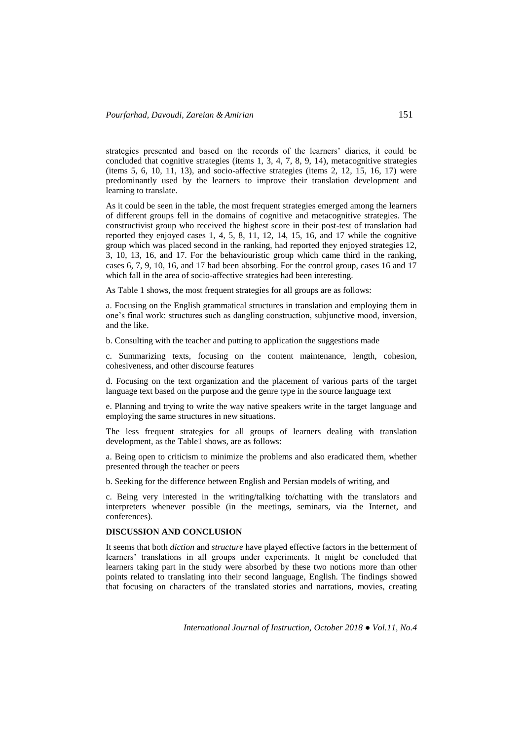strategies presented and based on the records of the learners' diaries, it could be concluded that cognitive strategies (items 1, 3, 4, 7, 8, 9, 14), metacognitive strategies (items  $5, 6, 10, 11, 13$ ), and socio-affective strategies (items  $2, 12, 15, 16, 17$ ) were predominantly used by the learners to improve their translation development and learning to translate.

As it could be seen in the table, the most frequent strategies emerged among the learners of different groups fell in the domains of cognitive and metacognitive strategies. The constructivist group who received the highest score in their post-test of translation had reported they enjoyed cases 1, 4, 5, 8, 11, 12, 14, 15, 16, and 17 while the cognitive group which was placed second in the ranking, had reported they enjoyed strategies 12, 3, 10, 13, 16, and 17. For the behaviouristic group which came third in the ranking, cases 6, 7, 9, 10, 16, and 17 had been absorbing. For the control group, cases 16 and 17 which fall in the area of socio-affective strategies had been interesting.

As Table 1 shows, the most frequent strategies for all groups are as follows:

a. Focusing on the English grammatical structures in translation and employing them in one's final work: structures such as dangling construction, subjunctive mood, inversion, and the like.

b. Consulting with the teacher and putting to application the suggestions made

c. Summarizing texts, focusing on the content maintenance, length, cohesion, cohesiveness, and other discourse features

d. Focusing on the text organization and the placement of various parts of the target language text based on the purpose and the genre type in the source language text

e. Planning and trying to write the way native speakers write in the target language and employing the same structures in new situations.

The less frequent strategies for all groups of learners dealing with translation development, as the Table1 shows, are as follows:

a. Being open to criticism to minimize the problems and also eradicated them, whether presented through the teacher or peers

b. Seeking for the difference between English and Persian models of writing, and

c. Being very interested in the writing/talking to/chatting with the translators and interpreters whenever possible (in the meetings, seminars, via the Internet, and conferences).

### **DISCUSSION AND CONCLUSION**

It seems that both *diction* and *structure* have played effective factors in the betterment of learners' translations in all groups under experiments. It might be concluded that learners taking part in the study were absorbed by these two notions more than other points related to translating into their second language, English. The findings showed that focusing on characters of the translated stories and narrations, movies, creating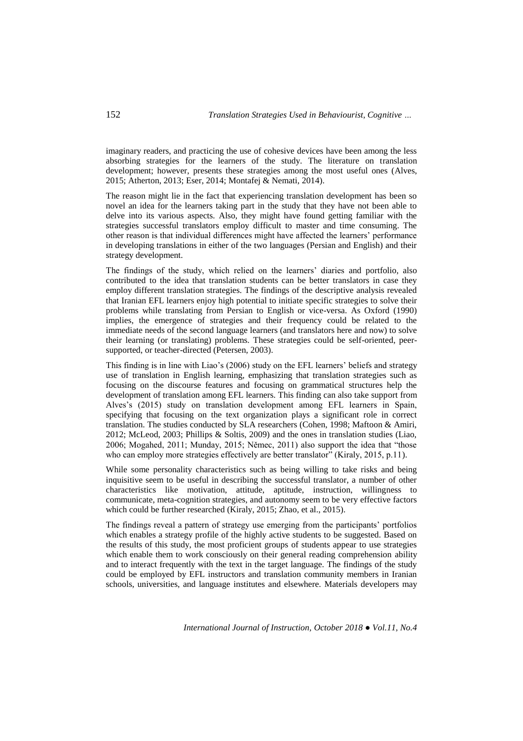imaginary readers, and practicing the use of cohesive devices have been among the less absorbing strategies for the learners of the study. The literature on translation development; however, presents these strategies among the most useful ones (Alves, 2015; Atherton, 2013; Eser, 2014; Montafej & Nemati, 2014).

The reason might lie in the fact that experiencing translation development has been so novel an idea for the learners taking part in the study that they have not been able to delve into its various aspects. Also, they might have found getting familiar with the strategies successful translators employ difficult to master and time consuming. The other reason is that individual differences might have affected the learners' performance in developing translations in either of the two languages (Persian and English) and their strategy development.

The findings of the study, which relied on the learners' diaries and portfolio, also contributed to the idea that translation students can be better translators in case they employ different translation strategies. The findings of the descriptive analysis revealed that Iranian EFL learners enjoy high potential to initiate specific strategies to solve their problems while translating from Persian to English or vice-versa. As Oxford (1990) implies, the emergence of strategies and their frequency could be related to the immediate needs of the second language learners (and translators here and now) to solve their learning (or translating) problems. These strategies could be self-oriented, peersupported, or teacher-directed (Petersen, 2003).

This finding is in line with Liao's (2006) study on the EFL learners' beliefs and strategy use of translation in English learning, emphasizing that translation strategies such as focusing on the discourse features and focusing on grammatical structures help the development of translation among EFL learners. This finding can also take support from Alves's (2015) study on translation development among EFL learners in Spain, specifying that focusing on the text organization plays a significant role in correct translation. The studies conducted by SLA researchers (Cohen, 1998; Maftoon & Amiri, 2012; McLeod, 2003; Phillips & Soltis, 2009) and the ones in translation studies (Liao, 2006; Mogahed, 2011; Munday, 2015; Němec, 2011) also support the idea that "those who can employ more strategies effectively are better translator" (Kiraly, 2015, p.11).

While some personality characteristics such as being willing to take risks and being inquisitive seem to be useful in describing the successful translator, a number of other characteristics like motivation, attitude, aptitude, instruction, willingness to communicate, meta-cognition strategies, and autonomy seem to be very effective factors which could be further researched (Kiraly, 2015; Zhao, et al., 2015).

The findings reveal a pattern of strategy use emerging from the participants' portfolios which enables a strategy profile of the highly active students to be suggested. Based on the results of this study, the most proficient groups of students appear to use strategies which enable them to work consciously on their general reading comprehension ability and to interact frequently with the text in the target language. The findings of the study could be employed by EFL instructors and translation community members in Iranian schools, universities, and language institutes and elsewhere. Materials developers may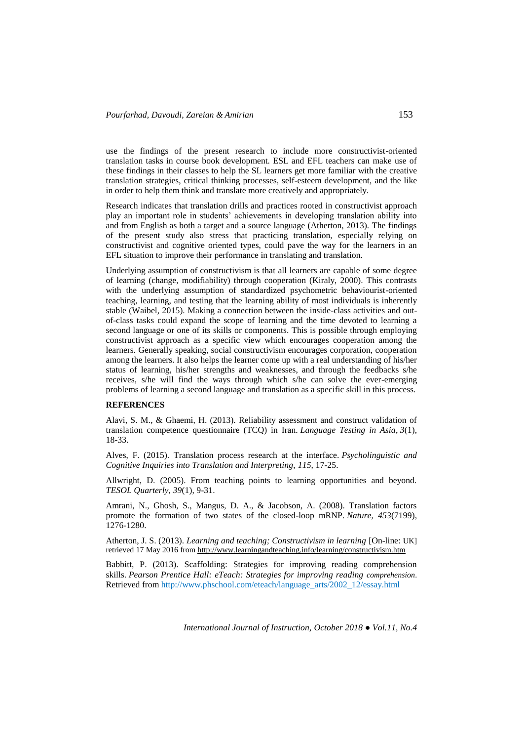use the findings of the present research to include more constructivist-oriented translation tasks in course book development. ESL and EFL teachers can make use of these findings in their classes to help the SL learners get more familiar with the creative translation strategies, critical thinking processes, self-esteem development, and the like in order to help them think and translate more creatively and appropriately.

Research indicates that translation drills and practices rooted in constructivist approach play an important role in students' achievements in developing translation ability into and from English as both a target and a source language (Atherton, 2013). The findings of the present study also stress that practicing translation, especially relying on constructivist and cognitive oriented types, could pave the way for the learners in an EFL situation to improve their performance in translating and translation.

Underlying assumption of constructivism is that all learners are capable of some degree of learning (change, modifiability) through cooperation (Kiraly, 2000). This contrasts with the underlying assumption of standardized psychometric behaviourist-oriented teaching, learning, and testing that the learning ability of most individuals is inherently stable (Waibel, 2015). Making a connection between the inside-class activities and outof-class tasks could expand the scope of learning and the time devoted to learning a second language or one of its skills or components. This is possible through employing constructivist approach as a specific view which encourages cooperation among the learners. Generally speaking, social constructivism encourages corporation, cooperation among the learners. It also helps the learner come up with a real understanding of his/her status of learning, his/her strengths and weaknesses, and through the feedbacks s/he receives, s/he will find the ways through which s/he can solve the ever-emerging problems of learning a second language and translation as a specific skill in this process.

### **REFERENCES**

Alavi, S. M., & Ghaemi, H. (2013). Reliability assessment and construct validation of translation competence questionnaire (TCQ) in Iran. *Language Testing in Asia*, *3*(1), 18-33.

Alves, F. (2015). Translation process research at the interface. *Psycholinguistic and Cognitive Inquiries into Translation and Interpreting, 115,* 17-25.

Allwright, D. (2005). From teaching points to learning opportunities and beyond. *TESOL Quarterly, 39*(1), 9-31.

Amrani, N., Ghosh, S., Mangus, D. A., & Jacobson, A. (2008). Translation factors promote the formation of two states of the closed-loop mRNP. *Nature*, *453*(7199), 1276-1280.

Atherton, J. S. (2013). *Learning and teaching; Constructivism in learning* [On-line: UK] retrieved 17 May 2016 from http://www.learningandteaching.info/learning/constructivism.htm

Babbitt, P. (2013). Scaffolding: Strategies for improving reading comprehension skills. *Pearson Prentice Hall: eTeach: Strategies for improving reading comprehension*. Retrieved fro[m http://www.phschool.com/eteach/language\\_arts/2002\\_12/essay.html](http://www.phschool.com/eteach/language_arts/2002_12/essay.html)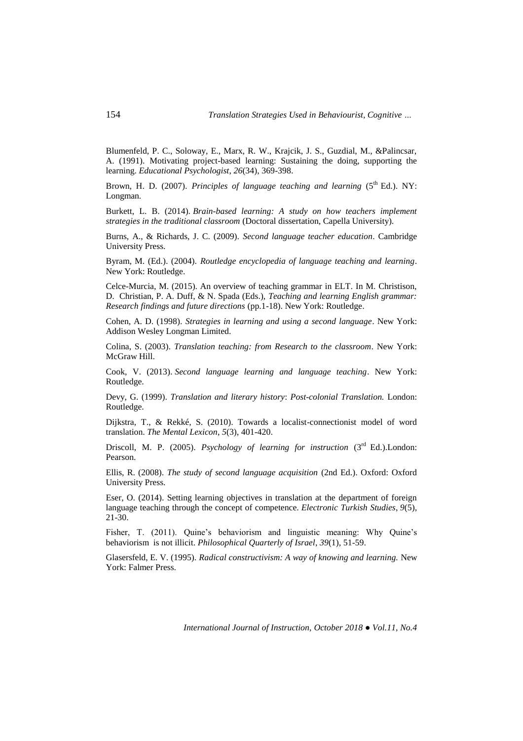Blumenfeld, P. C., Soloway, E., Marx, R. W., Krajcik, J. S., Guzdial, M., &Palincsar, A. (1991). Motivating project-based learning: Sustaining the doing, supporting the learning. *Educational Psychologist*, *26*(34), 369-398.

Brown, H. D. (2007). *Principles of language teaching and learning* (5<sup>th</sup> Ed.). NY: Longman.

Burkett, L. B. (2014). *Brain-based learning: A study on how teachers implement strategies in the traditional classroom* (Doctoral dissertation, Capella University).

Burns, A., & Richards, J. C. (2009). *Second language teacher education*. Cambridge University Press.

Byram, M. (Ed.). (2004). *Routledge encyclopedia of language teaching and learning*. New York: Routledge.

Celce-Murcia, M. (2015). An overview of teaching grammar in ELT. In M. Christison, D. Christian, P. A. Duff, & N. Spada (Eds.), *Teaching and learning English grammar: Research findings and future directions* (pp.1-18). New York: Routledge.

Cohen, A. D. (1998). *Strategies in learning and using a second language*. New York: Addison Wesley Longman Limited.

Colina, S. (2003). *Translation teaching: from Research to the classroom*. New York: McGraw Hill.

Cook, V. (2013). *Second language learning and language teaching*. New York: Routledge.

Devy, G. (1999). *Translation and literary history*: *Post-colonial Translation.* London: Routledge.

Dijkstra, T., & Rekké, S. (2010). Towards a localist-connectionist model of word translation. *The Mental Lexicon*, *5*(3), 401-420.

Driscoll, M. P. (2005). *Psychology of learning for instruction* (3<sup>rd</sup> Ed.).London: Pearson.

Ellis, R. (2008). *The study of second language acquisition* (2nd Ed.). Oxford: Oxford University Press.

Eser, O. (2014). Setting learning objectives in translation at the department of foreign language teaching through the concept of competence. *Electronic Turkish Studies*, *9*(5), 21-30.

Fisher, T. (2011). Quine's behaviorism and linguistic meaning: Why Quine's behaviorism is not illicit. *Philosophical Quarterly of Israel*, *39*(1), 51-59.

Glasersfeld, E. V. (1995). *Radical constructivism: A way of knowing and learning.* New York: Falmer Press.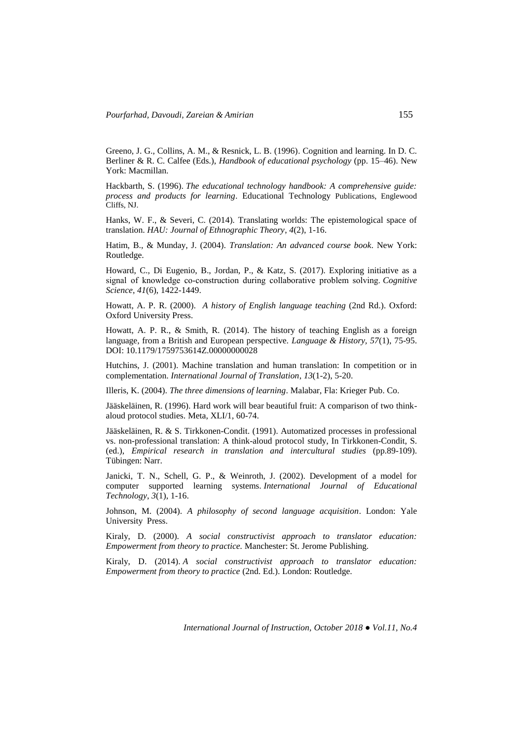Greeno, J. G., Collins, A. M., & Resnick, L. B. (1996). Cognition and learning. In D. C. Berliner & R. C. Calfee (Eds.), *Handbook of educational psychology* (pp. 15–46). New York: Macmillan.

Hackbarth, S. (1996). *The educational technology handbook: A comprehensive guide: process and products for learning*. Educational Technology Publications, Englewood Cliffs, NJ.

Hanks, W. F., & Severi, C. (2014). Translating worlds: The epistemological space of translation. *HAU: Journal of Ethnographic Theory*, *4*(2), 1-16.

Hatim, B., & Munday, J. (2004). *Translation: An advanced course book*. New York: Routledge.

Howard, C., Di Eugenio, B., Jordan, P., & Katz, S. (2017). Exploring initiative as a signal of knowledge co‐construction during collaborative problem solving. *Cognitive Science*, *41*(6), 1422-1449.

Howatt, A. P. R. (2000). *A history of English language teaching* (2nd Rd.). Oxford: Oxford University Press.

Howatt, A. P. R., & Smith, R. (2014). The history of teaching English as a foreign language, from a British and European perspective. *Language & History, 57*(1), 75-95. DOI: 10.1179/1759753614Z.00000000028

Hutchins, J. (2001). Machine translation and human translation: In competition or in complementation. *International Journal of Translation*, *13*(1-2), 5-20.

Illeris, K. (2004). *The three dimensions of learning*. Malabar, Fla: Krieger Pub. Co.

Jääskeläinen, R. (1996). Hard work will bear beautiful fruit: A comparison of two thinkaloud protocol studies. Meta, XLI/1, 60-74.

Jääskeläinen, R. & S. Tirkkonen-Condit. (1991). Automatized processes in professional vs. non-professional translation: A think-aloud protocol study, In Tirkkonen-Condit, S. (ed.), *Empirical research in translation and intercultural studies* (pp.89-109). Tübingen: Narr.

Janicki, T. N., Schell, G. P., & Weinroth, J. (2002). Development of a model for computer supported learning systems. *International Journal of Educational Technology*, *3*(1), 1-16.

Johnson, M. (2004). *A philosophy of second language acquisition*. London: Yale University Press.

Kiraly, D. (2000). *A social constructivist approach to translator education: Empowerment from theory to practice.* Manchester: St. Jerome Publishing.

Kiraly, D. (2014). *A social constructivist approach to translator education: Empowerment from theory to practice* (2nd. Ed.). London: Routledge.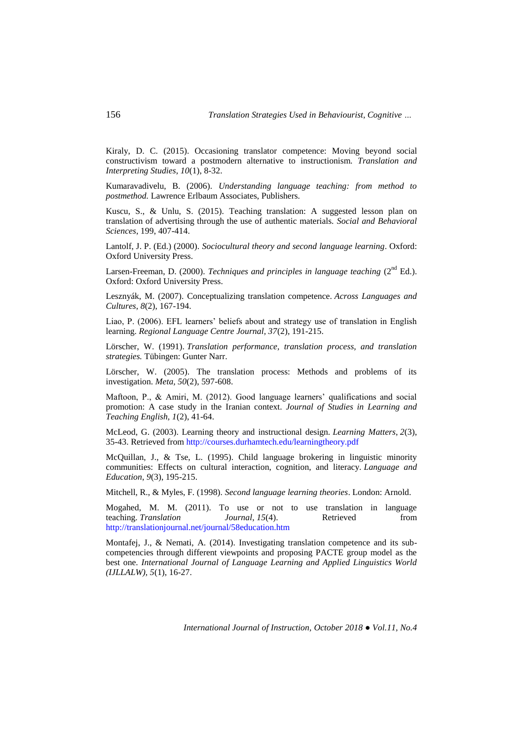Kiraly, D. C. (2015). Occasioning translator competence: Moving beyond social constructivism toward a postmodern alternative to instructionism. *Translation and Interpreting Studies*, *10*(1), 8-32.

Kumaravadivelu, B. (2006). *Understanding language teaching: from method to postmethod.* Lawrence Erlbaum Associates, Publishers.

Kuscu, S., & Unlu, S. (2015). Teaching translation: A suggested lesson plan on translation of advertising through the use of authentic materials. *Social and Behavioral Sciences*, 199, 407-414.

Lantolf, J. P. (Ed.) (2000). *Sociocultural theory and second language learning*. Oxford: Oxford University Press.

Larsen-Freeman, D. (2000). *Techniques and principles in language teaching* (2<sup>nd</sup> Ed.). Oxford: Oxford University Press.

Lesznyák, M. (2007). Conceptualizing translation competence. *Across Languages and Cultures*, *8*(2), 167-194.

Liao, P. (2006). EFL learners' beliefs about and strategy use of translation in English learning. *Regional Language Centre Journal, 37*(2), 191-215.

Lörscher, W. (1991). *Translation performance, translation process, and translation strategies.* Tübingen: Gunter Narr.

Lörscher, W. (2005). The translation process: Methods and problems of its investigation. *Meta, 50*(2), 597-608.

Maftoon, P., & Amiri, M. (2012). Good language learners' qualifications and social promotion: A case study in the Iranian context. *Journal of Studies in Learning and Teaching English, 1*(2), 41-64.

McLeod, G. (2003). Learning theory and instructional design. *Learning Matters*, *2*(3), 35-43. Retrieved from<http://courses.durhamtech.edu/learningtheory.pdf>

McQuillan, J., & Tse, L. (1995). Child language brokering in linguistic minority communities: Effects on cultural interaction, cognition, and literacy. *Language and Education*, *9*(3), 195-215.

Mitchell, R., & Myles, F. (1998). *Second language learning theories*. London: Arnold.

Mogahed, M. M. (2011). To use or not to use translation in language teaching Translation *Iournal* 15(4) Retrieved from teaching. *Translation Journal*, *15*(4). Retrieved from <http://translationjournal.net/journal/58education.htm>

Montafej, J., & Nemati, A. (2014). Investigating translation competence and its subcompetencies through different viewpoints and proposing PACTE group model as the best one. *International Journal of Language Learning and Applied Linguistics World (IJLLALW), 5*(1), 16-27.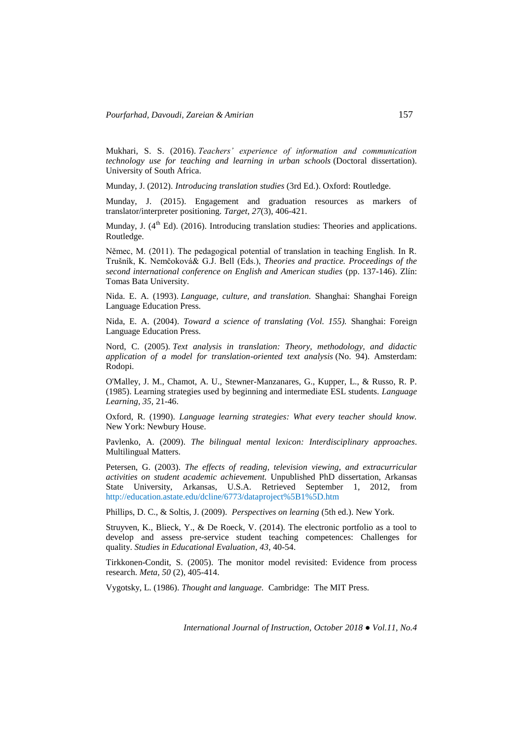Mukhari, S. S. (2016). *Teachers' experience of information and communication technology use for teaching and learning in urban schools* (Doctoral dissertation). University of South Africa.

Munday, J. (2012). *Introducing translation studies* (3rd Ed.). Oxford: Routledge.

Munday, J. (2015). Engagement and graduation resources as markers of translator/interpreter positioning. *Target*, *27*(3), 406-421.

Munday, J.  $(4<sup>th</sup> Ed)$ . (2016). Introducing translation studies: Theories and applications. Routledge.

Němec, M. (2011). The pedagogical potential of translation in teaching English. In R. Trušník, K. Nemčoková& G.J. Bell (Eds.), *Theories and practice. Proceedings of the second international conference on English and American studies* (pp. 137-146). Zlín: Tomas Bata University.

Nida. E. A. (1993). *Language, culture, and translation.* Shanghai: Shanghai Foreign Language Education Press.

Nida, E. A. (2004). *Toward a science of translating (Vol. 155).* Shanghai: Foreign Language Education Press.

Nord, C. (2005). *Text analysis in translation: Theory, methodology, and didactic application of a model for translation-oriented text analysis* (No. 94). Amsterdam: Rodopi.

O'Malley, J. M., Chamot, A. U., Stewner-Manzanares, G., Kupper, L., & Russo, R. P. (1985). Learning strategies used by beginning and intermediate ESL students. *Language Learning, 35,* 21-46.

Oxford, R. (1990). *Language learning strategies: What every teacher should know.* New York: Newbury House.

Pavlenko, A. (2009). *The bilingual mental lexicon: Interdisciplinary approaches*. Multilingual Matters.

Petersen, G. (2003). *The effects of reading, television viewing, and extracurricular activities on student academic achievement.* Unpublished PhD dissertation, Arkansas State University, Arkansas, U.S.A. Retrieved September 1, 2012, from <http://education.astate.edu/dcline/6773/dataproject%5B1%5D.htm>

Phillips, D. C., & Soltis, J. (2009). *Perspectives on learning* (5th ed.). New York.

Struyven, K., Blieck, Y., & De Roeck, V. (2014). The electronic portfolio as a tool to develop and assess pre-service student teaching competences: Challenges for quality. *Studies in Educational Evaluation*, *43*, 40-54.

Tirkkonen-Condit, S. (2005). The monitor model revisited: Evidence from process research. *Meta, 50* (2), 405-414.

Vygotsky, L. (1986). *Thought and language.* Cambridge: The MIT Press.